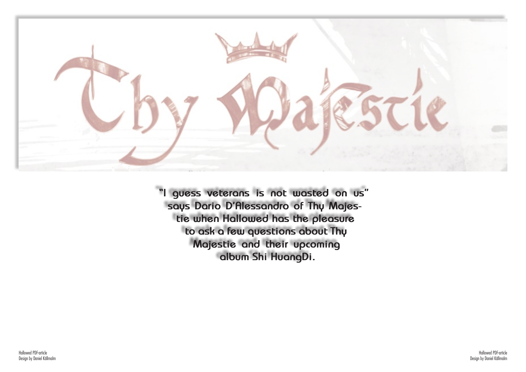

**"I guess veterans is not wasted on us" says Dario D'Alessandro of Thy Majestie when Hallowed has the pleasure to ask a few questions about Thy Majestie and their upcoming album Shi HuangDi.**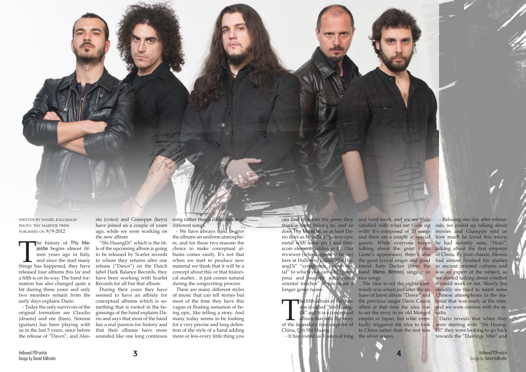written by daniel källmalm photo: thy majestie press published on 9/9-2012

The history of Thy Ma-<br>jestie begins almost fif-<br>teen years ago in Italy,<br>and since the start many<br>things has happened, they have jestie begins almost fifteen years ago in Italy, and since the start many released four albums this far and a fifth is on its way. The band formation has also changed quite a bit during these years and only early days explains Dario.

- Today the only survivors of the original formation are Claudio (drums) and me (bass). Simone (guitars) has been playing with us in the last 5 years, since before the release of "Dawn", and Alessong rather than a combination of different songs.

sio (voice) and Giuseppe (keys) have joined us a couple of years ago, while we were working on the new album

two members remain from the seemed to have an affinity for During their years they have conceptual albums which is something that is rooted in the beginnings of the band explains Dario and says that most of the band has a real passion for history and that their albums have more sounded like one long continuos

"Shi HuangDi" which is the title of the upcoming album is going to be released by Scarlet records to whom they returns after one release ("Dawn") on the Dutch label Dark Balance Records, they have been working with Scarlet Records for all but that album.

> The fifth album of the Italians is called "Shi Huang-<br>Di" and it is a conceptual<br>album that tells the story<br>of the legendary first emperor of ans is called "Shi Huang-<sup>'</sup> and it is a conceptual album that tells the story China, Qin Shi Huang.

- We have always tried to give the albums an uniform atmosphere, and for those two reasons the choice to make conceptual albums comes easily. It's not that when we start to produce new material we think that it will be a concept about this or that historical matter... it just comes natural during the songwriting process.

There are many different styles of music that can tell stories but most of the time they have this vague or floating sensation of being epic, like telling a story. And many today seems to be looking for a very precise and long definition of the style of a band adding more or less every little thing you

can find in it into the genre they and hard work, and we are truly think a band belong to, and so satisfied with what we came up does Thy Majestie, or at least Da-with! It's composed of 10 songs rio does as he calls it "power-epic and there are a couple of special metal with some prog and film-guests. While everyone keeps reviewer (who happens to be me) Lione's appearance, there's also here at Hallowed called "Shi Hu-the great lyrical singer and good angDi" "symphonic power me-friend Katy Decker (from the tal" to which you can add "pom-band Mena Brinno) singing in pous and majestic with some two songs. oriental touches" if you want a longer genre name.

- It has costed us 3 years of long the silver screen.

score elements added to it". Our talking about the great Fabio talking about the first emperor - Relaxing one day after rehearsals, we ended up talking about movies and Giuseppe told us how much he loved this movie he had recently seen, "Hero", of China. By pure chance, Alessio had almost finished his studies in ancient oriental cultures and was an expert of the subject, so we started talking about whether it could work or not. Slowly but steadily we tried to insert some Chinese atmospheres in the material that was ready at the time, and we were content with the results.

The idea to set the sights eastwards was arisen just after the release of latest album "Dawn" and the previous singer Dario Cascio albeit at that time the idea was to set the story in an old Mongol empire or Japan, but what eventually triggered the idea to look to China rather than the rest was

Dario reveals that when they were starting with "Shi Huang-Di" they were looking to go back towards the "Hastings 1066" and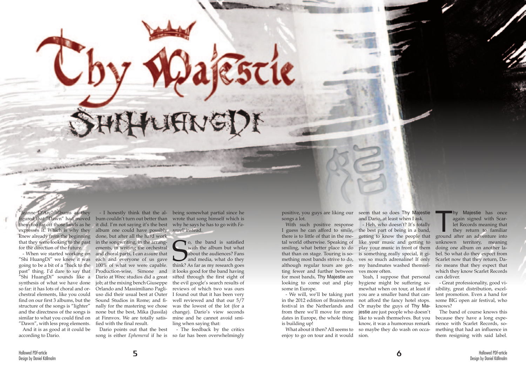"Jeanne D'Arc" albums as they figured that "Dawn" had moved knew already from the beginning that they were looking to the past for the direction of the future.

**CAROLE & STANDARDS** 

"Shi HuangDi" we knew it was going to be a bit of a "back to the "Shi HuangDi" sounds like a synthesis of what we have done so far: it has lots of choral and orchestral elements, like you could find on our first 3 albums, but the structure of the songs is "lighter" and the directness of the songs is similar to what you could find on at Finnvox. We are totally satis-"Dawn", with less prog elements.

And it is as good at it could be according to Dario.

them too far off those lands as he it did. I'm not saying it's the best why he says he has to go with *Fa*expresses it. Which is why they album one could have possibly *rewell* instead. - When we started working on and choral parts, I can assure that past" thing. I'd dare to say that Production-wise, Simone and bum couldn't turn out better than wrote that song himself which is done, but after all the hard work in the songwriting, in the arrangements, in writing the orchestral each and everyone of us gave 100% of what we were capable. Dario at Wrec studios did a great job; at the mixing bench Giuseppe Orlando and Massimiliano Pagliuso did their usual best at Outer Sound Studios in Rome; and finally for the mastering we chose none but the best, Mika (Jussila) fied with the final result.

**S** o, the band is satisfied with the album but what about the audiences? Fans and media, what do they think? As far as my research goes o, the band is satisfied with the album but what about the audiences? Fans and media, what do they it looks good for the band having sifted through the first eight of the evil google's search results of reviews of which two was ours I found out that it has been very well reviewed and that our 5/7 was the lowest of the lot (for a change). Dario's view seconds mine and he cannot avoid smiling when saying that:

- I honestly think that the al-being somewhat partial since he

Dario points out that the best song is either *Ephemeral* if he is

Thy Majestie has once again signed with Scarlet Records meaning that they return to familiar ground after an adventure into again signed with Scarlet Records meaning that they return to familiar unknown territory, meaning doing one album on another label. So what do they expect from Scarlet now that they return, Dawhich they know Scarlet Records can deliver.

- The feedback by the critics so far has been overwhelmingly

positive, you guys are liking our seem that so does Thy Majestie songs a lot.

With such positive response smiling, what better place to do that than on stage. Touring is soting fewer and further between ves more often. for most bands, Thy Majestie are looking to come out and play hygiene might be suffering sosome in Europe.

I guess he can afford to smile, the best part of being in a band, there is to little of that in the me-getting to know the people that tal world otherwise. Speaking of like your music and getting to mething most bands strive to do, ves so much adrenaline! If only although regular tours are get-my bandmates washed themsel-rio means that they expect that and Dario, at least when I ask. - Heh, who doesn't? It's totally play your music in front of them is something really special, it gi-

- We will, we'll be taking part in the 2012 edition of Brainstorm festival in the Netherlands and from there we'll move for more is building up!

What about it then? All seems to enjoy to go on tour and it would

dates in Europe, the whole thing like to wash themselves. But you Yeah, I suppose that personal mewhat when on tour, at least if you are a smaller band that cannot afford the fancy hotel stops. Or maybe the guys of Thy Majestie are just people who doesn't know, it was a humorous remark so maybe they do wash on occasion.

- Great professionality, good visibility, great distribution, excellent promotion. Even a hand for some BIG open air festival, who knows?

The band of course knows this because they have a long experience with Scarlet Records, something that had an influence in them resigning with said label.